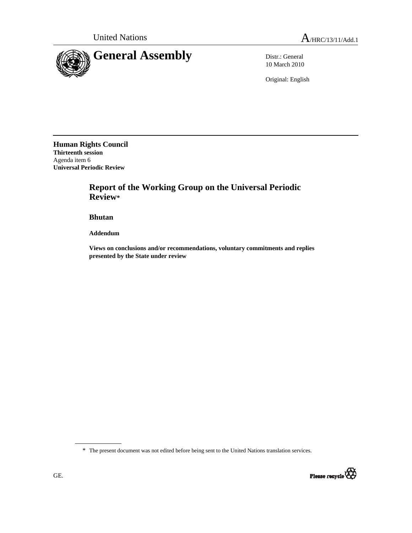

10 March 2010

Original: English

**Human Rights Council Thirteenth session**  Agenda item 6 **Universal Periodic Review** 

## **Report of the Working Group on the Universal Periodic Review\***

 **Bhutan** 

 **Addendum** 

 **Views on conclusions and/or recommendations, voluntary commitments and replies presented by the State under review** 

\* The present document was not edited before being sent to the United Nations translation services.

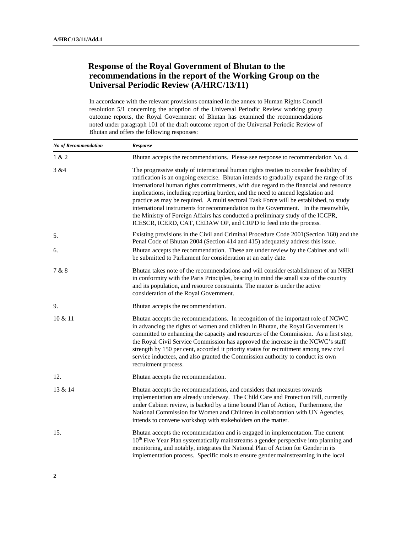## **Response of the Royal Government of Bhutan to the recommendations in the report of the Working Group on the Universal Periodic Review (A/HRC/13/11)**

In accordance with the relevant provisions contained in the annex to Human Rights Council resolution 5/1 concerning the adoption of the Universal Periodic Review working group outcome reports, the Royal Government of Bhutan has examined the recommendations noted under paragraph 101 of the draft outcome report of the Universal Periodic Review of Bhutan and offers the following responses:

| No of Recommendation | Response                                                                                                                                                                                                                                                                                                                                                                                                                                                                                                                                                                                                                                                                                              |
|----------------------|-------------------------------------------------------------------------------------------------------------------------------------------------------------------------------------------------------------------------------------------------------------------------------------------------------------------------------------------------------------------------------------------------------------------------------------------------------------------------------------------------------------------------------------------------------------------------------------------------------------------------------------------------------------------------------------------------------|
| 1 & 2                | Bhutan accepts the recommendations. Please see response to recommendation No. 4.                                                                                                                                                                                                                                                                                                                                                                                                                                                                                                                                                                                                                      |
| 3 & 4                | The progressive study of international human rights treaties to consider feasibility of<br>ratification is an ongoing exercise. Bhutan intends to gradually expand the range of its<br>international human rights commitments, with due regard to the financial and resource<br>implications, including reporting burden, and the need to amend legislation and<br>practice as may be required. A multi sectoral Task Force will be established, to study<br>international instruments for recommendation to the Government. In the meanwhile,<br>the Ministry of Foreign Affairs has conducted a preliminary study of the ICCPR,<br>ICESCR, ICERD, CAT, CEDAW OP, and CRPD to feed into the process. |
| 5.                   | Existing provisions in the Civil and Criminal Procedure Code 2001 (Section 160) and the<br>Penal Code of Bhutan 2004 (Section 414 and 415) adequately address this issue.                                                                                                                                                                                                                                                                                                                                                                                                                                                                                                                             |
| 6.                   | Bhutan accepts the recommendation. These are under review by the Cabinet and will<br>be submitted to Parliament for consideration at an early date.                                                                                                                                                                                                                                                                                                                                                                                                                                                                                                                                                   |
| 7 & 8                | Bhutan takes note of the recommendations and will consider establishment of an NHRI<br>in conformity with the Paris Principles, bearing in mind the small size of the country<br>and its population, and resource constraints. The matter is under the active<br>consideration of the Royal Government.                                                                                                                                                                                                                                                                                                                                                                                               |
| 9.                   | Bhutan accepts the recommendation.                                                                                                                                                                                                                                                                                                                                                                                                                                                                                                                                                                                                                                                                    |
| 10 & 11              | Bhutan accepts the recommendations. In recognition of the important role of NCWC<br>in advancing the rights of women and children in Bhutan, the Royal Government is<br>committed to enhancing the capacity and resources of the Commission. As a first step,<br>the Royal Civil Service Commission has approved the increase in the NCWC's staff<br>strength by 150 per cent, accorded it priority status for recruitment among new civil<br>service inductees, and also granted the Commission authority to conduct its own<br>recruitment process.                                                                                                                                                 |
| 12.                  | Bhutan accepts the recommendation.                                                                                                                                                                                                                                                                                                                                                                                                                                                                                                                                                                                                                                                                    |
| 13 & 14              | Bhutan accepts the recommendations, and considers that measures towards<br>implementation are already underway. The Child Care and Protection Bill, currently<br>under Cabinet review, is backed by a time bound Plan of Action, Furthermore, the<br>National Commission for Women and Children in collaboration with UN Agencies,<br>intends to convene workshop with stakeholders on the matter.                                                                                                                                                                                                                                                                                                    |
| 15.                  | Bhutan accepts the recommendation and is engaged in implementation. The current<br>10 <sup>th</sup> Five Year Plan systematically mainstreams a gender perspective into planning and<br>monitoring, and notably, integrates the National Plan of Action for Gender in its<br>implementation process. Specific tools to ensure gender mainstreaming in the local                                                                                                                                                                                                                                                                                                                                       |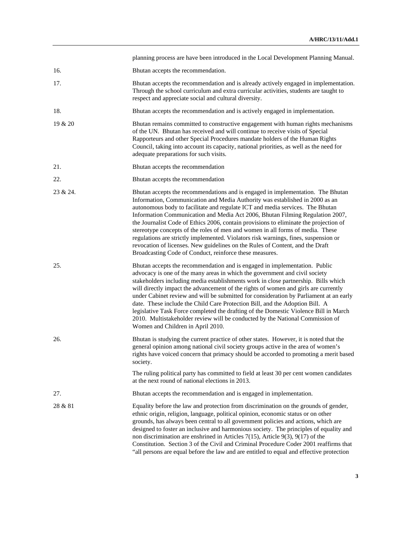|          | planning process are have been introduced in the Local Development Planning Manual.                                                                                                                                                                                                                                                                                                                                                                                                                                                                                                                                                                                                                                                             |
|----------|-------------------------------------------------------------------------------------------------------------------------------------------------------------------------------------------------------------------------------------------------------------------------------------------------------------------------------------------------------------------------------------------------------------------------------------------------------------------------------------------------------------------------------------------------------------------------------------------------------------------------------------------------------------------------------------------------------------------------------------------------|
| 16.      | Bhutan accepts the recommendation.                                                                                                                                                                                                                                                                                                                                                                                                                                                                                                                                                                                                                                                                                                              |
| 17.      | Bhutan accepts the recommendation and is already actively engaged in implementation.<br>Through the school curriculum and extra curricular activities, students are taught to<br>respect and appreciate social and cultural diversity.                                                                                                                                                                                                                                                                                                                                                                                                                                                                                                          |
| 18.      | Bhutan accepts the recommendation and is actively engaged in implementation.                                                                                                                                                                                                                                                                                                                                                                                                                                                                                                                                                                                                                                                                    |
| 19 & 20  | Bhutan remains committed to constructive engagement with human rights mechanisms<br>of the UN. Bhutan has received and will continue to receive visits of Special<br>Rapporteurs and other Special Procedures mandate holders of the Human Rights<br>Council, taking into account its capacity, national priorities, as well as the need for<br>adequate preparations for such visits.                                                                                                                                                                                                                                                                                                                                                          |
| 21.      | Bhutan accepts the recommendation                                                                                                                                                                                                                                                                                                                                                                                                                                                                                                                                                                                                                                                                                                               |
| 22.      | Bhutan accepts the recommendation                                                                                                                                                                                                                                                                                                                                                                                                                                                                                                                                                                                                                                                                                                               |
| 23 & 24. | Bhutan accepts the recommendations and is engaged in implementation. The Bhutan<br>Information, Communication and Media Authority was established in 2000 as an<br>autonomous body to facilitate and regulate ICT and media services. The Bhutan<br>Information Communication and Media Act 2006, Bhutan Filming Regulation 2007,<br>the Journalist Code of Ethics 2006, contain provisions to eliminate the projection of<br>stereotype concepts of the roles of men and women in all forms of media. These<br>regulations are strictly implemented. Violators risk warnings, fines, suspension or<br>revocation of licenses. New guidelines on the Rules of Content, and the Draft<br>Broadcasting Code of Conduct, reinforce these measures. |
| 25.      | Bhutan accepts the recommendation and is engaged in implementation. Public<br>advocacy is one of the many areas in which the government and civil society<br>stakeholders including media establishments work in close partnership. Bills which<br>will directly impact the advancement of the rights of women and girls are currently<br>under Cabinet review and will be submitted for consideration by Parliament at an early<br>date. These include the Child Care Protection Bill, and the Adoption Bill. A<br>legislative Task Force completed the drafting of the Domestic Violence Bill in March<br>2010. Multistakeholder review will be conducted by the National Commission of<br>Women and Children in April 2010.                  |
| 26.      | Bhutan is studying the current practice of other states. However, it is noted that the<br>general opinion among national civil society groups active in the area of women's<br>rights have voiced concern that primacy should be accorded to promoting a merit based<br>society.                                                                                                                                                                                                                                                                                                                                                                                                                                                                |
|          | The ruling political party has committed to field at least 30 per cent women candidates<br>at the next round of national elections in 2013.                                                                                                                                                                                                                                                                                                                                                                                                                                                                                                                                                                                                     |
| 27.      | Bhutan accepts the recommendation and is engaged in implementation.                                                                                                                                                                                                                                                                                                                                                                                                                                                                                                                                                                                                                                                                             |
| 28 & 81  | Equality before the law and protection from discrimination on the grounds of gender,<br>ethnic origin, religion, language, political opinion, economic status or on other<br>grounds, has always been central to all government policies and actions, which are<br>designed to foster an inclusive and harmonious society. The principles of equality and<br>non discrimination are enshrined in Articles 7(15), Article 9(3), 9(17) of the<br>Constitution. Section 3 of the Civil and Criminal Procedure Coder 2001 reaffirms that<br>"all persons are equal before the law and are entitled to equal and effective protection                                                                                                                |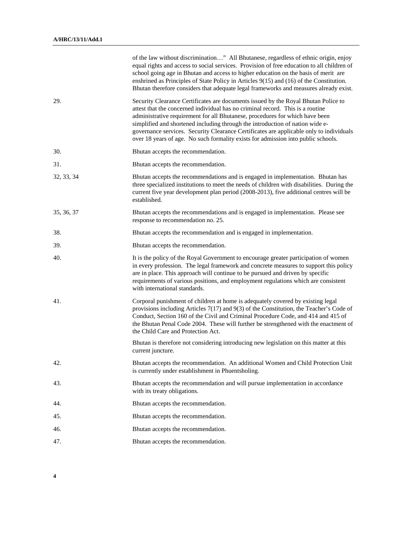|            | of the law without discrimination" All Bhutanese, regardless of ethnic origin, enjoy<br>equal rights and access to social services. Provision of free education to all children of<br>school going age in Bhutan and access to higher education on the basis of merit are<br>enshrined as Principles of State Policy in Articles 9(15) and (16) of the Constitution.<br>Bhutan therefore considers that adequate legal frameworks and measures already exist.                                                         |
|------------|-----------------------------------------------------------------------------------------------------------------------------------------------------------------------------------------------------------------------------------------------------------------------------------------------------------------------------------------------------------------------------------------------------------------------------------------------------------------------------------------------------------------------|
| 29.        | Security Clearance Certificates are documents issued by the Royal Bhutan Police to<br>attest that the concerned individual has no criminal record. This is a routine<br>administrative requirement for all Bhutanese, procedures for which have been<br>simplified and shortened including through the introduction of nation wide e-<br>governance services. Security Clearance Certificates are applicable only to individuals<br>over 18 years of age. No such formality exists for admission into public schools. |
| 30.        | Bhutan accepts the recommendation.                                                                                                                                                                                                                                                                                                                                                                                                                                                                                    |
| 31.        | Bhutan accepts the recommendation.                                                                                                                                                                                                                                                                                                                                                                                                                                                                                    |
| 32, 33, 34 | Bhutan accepts the recommendations and is engaged in implementation. Bhutan has<br>three specialized institutions to meet the needs of children with disabilities. During the<br>current five year development plan period (2008-2013), five additional centres will be<br>established.                                                                                                                                                                                                                               |
| 35, 36, 37 | Bhutan accepts the recommendations and is engaged in implementation. Please see<br>response to recommendation no. 25.                                                                                                                                                                                                                                                                                                                                                                                                 |
| 38.        | Bhutan accepts the recommendation and is engaged in implementation.                                                                                                                                                                                                                                                                                                                                                                                                                                                   |
| 39.        | Bhutan accepts the recommendation.                                                                                                                                                                                                                                                                                                                                                                                                                                                                                    |
| 40.        | It is the policy of the Royal Government to encourage greater participation of women<br>in every profession. The legal framework and concrete measures to support this policy<br>are in place. This approach will continue to be pursued and driven by specific<br>requirements of various positions, and employment regulations which are consistent<br>with international standards.                                                                                                                                |
| 41.        | Corporal punishment of children at home is adequately covered by existing legal<br>provisions including Articles $7(17)$ and $9(3)$ of the Constitution, the Teacher's Code of<br>Conduct, Section 160 of the Civil and Criminal Procedure Code, and 414 and 415 of<br>the Bhutan Penal Code 2004. These will further be strengthened with the enactment of<br>the Child Care and Protection Act.                                                                                                                     |
|            | Bhutan is therefore not considering introducing new legislation on this matter at this<br>current juncture.                                                                                                                                                                                                                                                                                                                                                                                                           |
| 42.        | Bhutan accepts the recommendation. An additional Women and Child Protection Unit<br>is currently under establishment in Phuentsholing.                                                                                                                                                                                                                                                                                                                                                                                |
| 43.        | Bhutan accepts the recommendation and will pursue implementation in accordance<br>with its treaty obligations.                                                                                                                                                                                                                                                                                                                                                                                                        |
| 44.        | Bhutan accepts the recommendation.                                                                                                                                                                                                                                                                                                                                                                                                                                                                                    |
| 45.        | Bhutan accepts the recommendation.                                                                                                                                                                                                                                                                                                                                                                                                                                                                                    |
| 46.        | Bhutan accepts the recommendation.                                                                                                                                                                                                                                                                                                                                                                                                                                                                                    |
| 47.        | Bhutan accepts the recommendation.                                                                                                                                                                                                                                                                                                                                                                                                                                                                                    |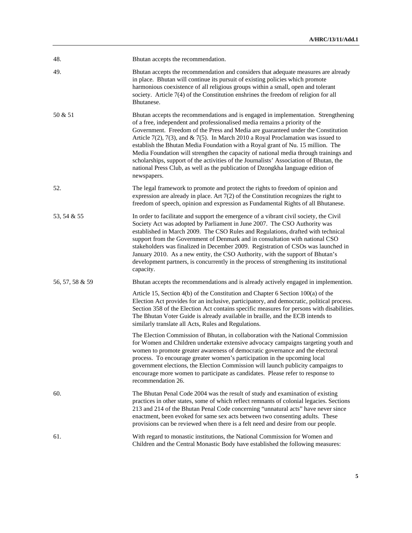| 48.             | Bhutan accepts the recommendation.                                                                                                                                                                                                                                                                                                                                                                                                                                                                                                                                                                                                                                                                                |
|-----------------|-------------------------------------------------------------------------------------------------------------------------------------------------------------------------------------------------------------------------------------------------------------------------------------------------------------------------------------------------------------------------------------------------------------------------------------------------------------------------------------------------------------------------------------------------------------------------------------------------------------------------------------------------------------------------------------------------------------------|
| 49.             | Bhutan accepts the recommendation and considers that adequate measures are already<br>in place. Bhutan will continue its pursuit of existing policies which promote<br>harmonious coexistence of all religious groups within a small, open and tolerant<br>society. Article 7(4) of the Constitution enshrines the freedom of religion for all<br>Bhutanese.                                                                                                                                                                                                                                                                                                                                                      |
| 50 & 51         | Bhutan accepts the recommendations and is engaged in implementation. Strengthening<br>of a free, independent and professionalised media remains a priority of the<br>Government. Freedom of the Press and Media are guaranteed under the Constitution<br>Article 7(2), 7(3), and & 7(5). In March 2010 a Royal Proclamation was issued to<br>establish the Bhutan Media Foundation with a Royal grant of Nu. 15 million. The<br>Media Foundation will strengthen the capacity of national media through trainings and<br>scholarships, support of the activities of the Journalists' Association of Bhutan, the<br>national Press Club, as well as the publication of Dzongkha language edition of<br>newspapers. |
| 52.             | The legal framework to promote and protect the rights to freedom of opinion and<br>expression are already in place. Art $7(2)$ of the Constitution recognizes the right to<br>freedom of speech, opinion and expression as Fundamental Rights of all Bhutanese.                                                                                                                                                                                                                                                                                                                                                                                                                                                   |
| 53, 54 & 55     | In order to facilitate and support the emergence of a vibrant civil society, the Civil<br>Society Act was adopted by Parliament in June 2007. The CSO Authority was<br>established in March 2009. The CSO Rules and Regulations, drafted with technical<br>support from the Government of Denmark and in consultation with national CSO<br>stakeholders was finalized in December 2009. Registration of CSOs was launched in<br>January 2010. As a new entity, the CSO Authority, with the support of Bhutan's<br>development partners, is concurrently in the process of strengthening its institutional<br>capacity.                                                                                            |
| 56, 57, 58 & 59 | Bhutan accepts the recommendations and is already actively engaged in implemention.                                                                                                                                                                                                                                                                                                                                                                                                                                                                                                                                                                                                                               |
|                 | Article 15, Section 4(b) of the Constitution and Chapter 6 Section 100(a) of the<br>Election Act provides for an inclusive, participatory, and democratic, political process.<br>Section 358 of the Election Act contains specific measures for persons with disabilities.<br>The Bhutan Voter Guide is already available in braille, and the ECB intends to<br>similarly translate all Acts, Rules and Regulations.                                                                                                                                                                                                                                                                                              |
|                 | The Election Commission of Bhutan, in collaboration with the National Commission<br>for Women and Children undertake extensive advocacy campaigns targeting youth and<br>women to promote greater awareness of democratic governance and the electoral<br>process. To encourage greater women's participation in the upcoming local<br>government elections, the Election Commission will launch publicity campaigns to<br>encourage more women to participate as candidates. Please refer to response to<br>recommendation 26.                                                                                                                                                                                   |
| 60.             | The Bhutan Penal Code 2004 was the result of study and examination of existing<br>practices in other states, some of which reflect remnants of colonial legacies. Sections<br>213 and 214 of the Bhutan Penal Code concerning "unnatural acts" have never since<br>enactment, been evoked for same sex acts between two consenting adults. These<br>provisions can be reviewed when there is a felt need and desire from our people.                                                                                                                                                                                                                                                                              |
| 61.             | With regard to monastic institutions, the National Commission for Women and<br>Children and the Central Monastic Body have established the following measures:                                                                                                                                                                                                                                                                                                                                                                                                                                                                                                                                                    |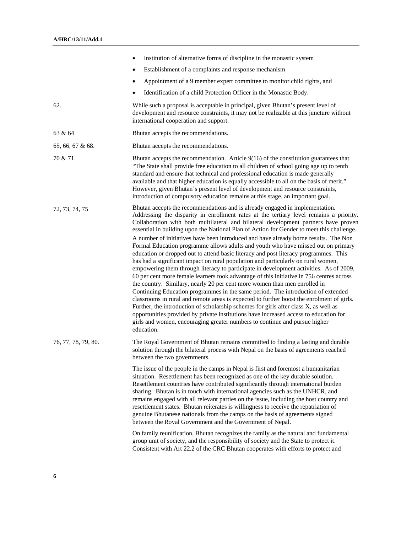|                     | Institution of alternative forms of discipline in the monastic system<br>$\bullet$                                                                                                                                                                                                                                                                                                                                                                                                                                                                                                                                                                                                                                                                                                                                                                                                                                                                                                                                                                                                                                                                                                                                                                                                                                                                                                                                                                    |
|---------------------|-------------------------------------------------------------------------------------------------------------------------------------------------------------------------------------------------------------------------------------------------------------------------------------------------------------------------------------------------------------------------------------------------------------------------------------------------------------------------------------------------------------------------------------------------------------------------------------------------------------------------------------------------------------------------------------------------------------------------------------------------------------------------------------------------------------------------------------------------------------------------------------------------------------------------------------------------------------------------------------------------------------------------------------------------------------------------------------------------------------------------------------------------------------------------------------------------------------------------------------------------------------------------------------------------------------------------------------------------------------------------------------------------------------------------------------------------------|
|                     | Establishment of a complaints and response mechanism<br>٠                                                                                                                                                                                                                                                                                                                                                                                                                                                                                                                                                                                                                                                                                                                                                                                                                                                                                                                                                                                                                                                                                                                                                                                                                                                                                                                                                                                             |
|                     | Appointment of a 9 member expert committee to monitor child rights, and<br>٠                                                                                                                                                                                                                                                                                                                                                                                                                                                                                                                                                                                                                                                                                                                                                                                                                                                                                                                                                                                                                                                                                                                                                                                                                                                                                                                                                                          |
|                     | Identification of a child Protection Officer in the Monastic Body.                                                                                                                                                                                                                                                                                                                                                                                                                                                                                                                                                                                                                                                                                                                                                                                                                                                                                                                                                                                                                                                                                                                                                                                                                                                                                                                                                                                    |
| 62.                 | While such a proposal is acceptable in principal, given Bhutan's present level of<br>development and resource constraints, it may not be realizable at this juncture without<br>international cooperation and support.                                                                                                                                                                                                                                                                                                                                                                                                                                                                                                                                                                                                                                                                                                                                                                                                                                                                                                                                                                                                                                                                                                                                                                                                                                |
| 63 & 64             | Bhutan accepts the recommendations.                                                                                                                                                                                                                                                                                                                                                                                                                                                                                                                                                                                                                                                                                                                                                                                                                                                                                                                                                                                                                                                                                                                                                                                                                                                                                                                                                                                                                   |
| 65, 66, 67 & 68.    | Bhutan accepts the recommendations.                                                                                                                                                                                                                                                                                                                                                                                                                                                                                                                                                                                                                                                                                                                                                                                                                                                                                                                                                                                                                                                                                                                                                                                                                                                                                                                                                                                                                   |
| 70 & 71.            | Bhutan accepts the recommendation. Article $9(16)$ of the constitution guarantees that<br>"The State shall provide free education to all children of school going age up to tenth<br>standard and ensure that technical and professional education is made generally<br>available and that higher education is equally accessible to all on the basis of merit."<br>However, given Bhutan's present level of development and resource constraints,<br>introduction of compulsory education remains at this stage, an important goal.                                                                                                                                                                                                                                                                                                                                                                                                                                                                                                                                                                                                                                                                                                                                                                                                                                                                                                                  |
| 72, 73, 74, 75      | Bhutan accepts the recommendations and is already engaged in implementation.<br>Addressing the disparity in enrollment rates at the tertiary level remains a priority.<br>Collaboration with both multilateral and bilateral development partners have proven<br>essential in building upon the National Plan of Action for Gender to meet this challenge.<br>A number of initiatives have been introduced and have already borne results. The Non<br>Formal Education programme allows adults and youth who have missed out on primary<br>education or dropped out to attend basic literacy and post literacy programmes. This<br>has had a significant impact on rural population and particularly on rural women,<br>empowering them through literacy to participate in development activities. As of 2009,<br>60 per cent more female learners took advantage of this initiative in 756 centres across<br>the country. Similary, nearly 20 per cent more women than men enrolled in<br>Continuing Education programmes in the same period. The introduction of extended<br>classrooms in rural and remote areas is expected to further boost the enrolment of girls.<br>Further, the introduction of scholarship schemes for girls after class X, as well as<br>opportunities provided by private institutions have increased access to education for<br>girls and women, encouraging greater numbers to continue and pursue higher<br>education. |
| 76, 77, 78, 79, 80. | The Royal Government of Bhutan remains committed to finding a lasting and durable<br>solution through the bilateral process with Nepal on the basis of agreements reached<br>between the two governments.                                                                                                                                                                                                                                                                                                                                                                                                                                                                                                                                                                                                                                                                                                                                                                                                                                                                                                                                                                                                                                                                                                                                                                                                                                             |
|                     | The issue of the people in the camps in Nepal is first and foremost a humanitarian<br>situation. Resettlement has been recognized as one of the key durable solution.<br>Resettlement countries have contributed significantly through international burden<br>sharing. Bhutan is in touch with international agencies such as the UNHCR, and<br>remains engaged with all relevant parties on the issue, including the host country and<br>resettlement states. Bhutan reiterates is willingness to receive the repatriation of<br>genuine Bhutanese nationals from the camps on the basis of agreements signed<br>between the Royal Government and the Government of Nepal.                                                                                                                                                                                                                                                                                                                                                                                                                                                                                                                                                                                                                                                                                                                                                                          |
|                     | On family reunification, Bhutan recognizes the family as the natural and fundamental<br>group unit of society, and the responsibility of society and the State to protect it.<br>Consistent with Art 22.2 of the CRC Bhutan cooperates with efforts to protect and                                                                                                                                                                                                                                                                                                                                                                                                                                                                                                                                                                                                                                                                                                                                                                                                                                                                                                                                                                                                                                                                                                                                                                                    |